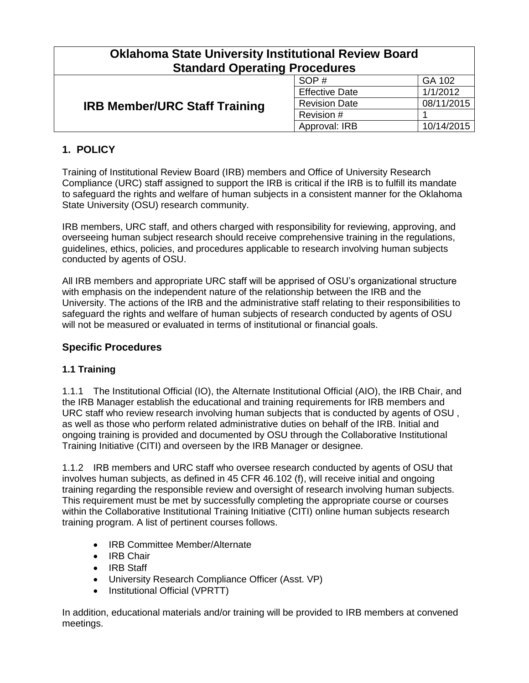| <b>Oklahoma State University Institutional Review Board</b><br><b>Standard Operating Procedures</b> |                       |            |  |
|-----------------------------------------------------------------------------------------------------|-----------------------|------------|--|
| <b>IRB Member/URC Staff Training</b>                                                                | SOP#                  | GA 102     |  |
|                                                                                                     | <b>Effective Date</b> | 1/1/2012   |  |
|                                                                                                     | <b>Revision Date</b>  | 08/11/2015 |  |
|                                                                                                     | Revision #            |            |  |
|                                                                                                     | Approval: IRB         | 10/14/2015 |  |

# **1. POLICY**

Training of Institutional Review Board (IRB) members and Office of University Research Compliance (URC) staff assigned to support the IRB is critical if the IRB is to fulfill its mandate to safeguard the rights and welfare of human subjects in a consistent manner for the Oklahoma State University (OSU) research community.

IRB members, URC staff, and others charged with responsibility for reviewing, approving, and overseeing human subject research should receive comprehensive training in the regulations, guidelines, ethics, policies, and procedures applicable to research involving human subjects conducted by agents of OSU.

All IRB members and appropriate URC staff will be apprised of OSU's organizational structure with emphasis on the independent nature of the relationship between the IRB and the University. The actions of the IRB and the administrative staff relating to their responsibilities to safeguard the rights and welfare of human subjects of research conducted by agents of OSU will not be measured or evaluated in terms of institutional or financial goals.

#### **Specific Procedures**

#### **1.1 Training**

1.1.1 The Institutional Official (IO), the Alternate Institutional Official (AIO), the IRB Chair, and the IRB Manager establish the educational and training requirements for IRB members and URC staff who review research involving human subjects that is conducted by agents of OSU , as well as those who perform related administrative duties on behalf of the IRB. Initial and ongoing training is provided and documented by OSU through the Collaborative Institutional Training Initiative (CITI) and overseen by the IRB Manager or designee.

1.1.2 IRB members and URC staff who oversee research conducted by agents of OSU that involves human subjects, as defined in 45 CFR 46.102 (f), will receive initial and ongoing training regarding the responsible review and oversight of research involving human subjects. This requirement must be met by successfully completing the appropriate course or courses within the Collaborative Institutional Training Initiative (CITI) online human subjects research training program. A list of pertinent courses follows.

- IRB Committee Member/Alternate
- IRB Chair
- IRB Staff
- University Research Compliance Officer (Asst. VP)
- Institutional Official (VPRTT)

In addition, educational materials and/or training will be provided to IRB members at convened meetings.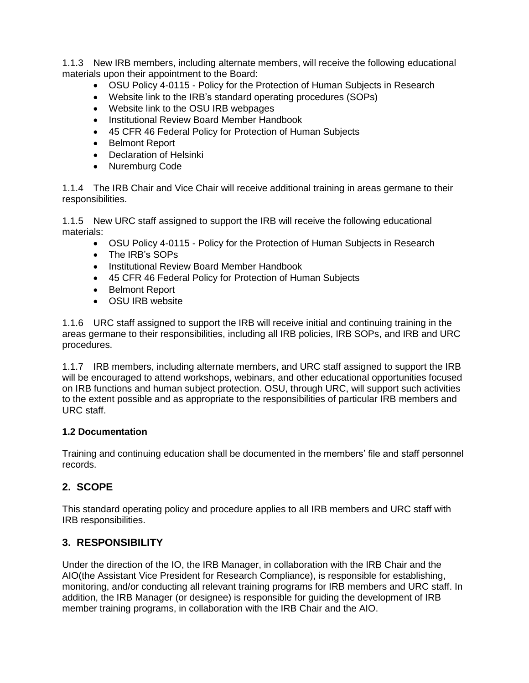1.1.3 New IRB members, including alternate members, will receive the following educational materials upon their appointment to the Board:

- OSU Policy 4-0115 Policy for the Protection of Human Subjects in Research
- Website link to the IRB's standard operating procedures (SOPs)
- Website link to the OSU IRB webpages
- Institutional Review Board Member Handbook
- 45 CFR 46 Federal Policy for Protection of Human Subjects
- Belmont Report
- Declaration of Helsinki
- Nuremburg Code

1.1.4 The IRB Chair and Vice Chair will receive additional training in areas germane to their responsibilities.

1.1.5 New URC staff assigned to support the IRB will receive the following educational materials:

- OSU Policy 4-0115 Policy for the Protection of Human Subjects in Research
- The IRB's SOPs
- Institutional Review Board Member Handbook
- 45 CFR 46 Federal Policy for Protection of Human Subjects
- Belmont Report
- OSU IRB website

1.1.6 URC staff assigned to support the IRB will receive initial and continuing training in the areas germane to their responsibilities, including all IRB policies, IRB SOPs, and IRB and URC procedures.

1.1.7 IRB members, including alternate members, and URC staff assigned to support the IRB will be encouraged to attend workshops, webinars, and other educational opportunities focused on IRB functions and human subject protection. OSU, through URC, will support such activities to the extent possible and as appropriate to the responsibilities of particular IRB members and URC staff.

#### **1.2 Documentation**

Training and continuing education shall be documented in the members' file and staff personnel records.

## **2. SCOPE**

This standard operating policy and procedure applies to all IRB members and URC staff with IRB responsibilities.

## **3. RESPONSIBILITY**

Under the direction of the IO, the IRB Manager, in collaboration with the IRB Chair and the AIO(the Assistant Vice President for Research Compliance), is responsible for establishing, monitoring, and/or conducting all relevant training programs for IRB members and URC staff. In addition, the IRB Manager (or designee) is responsible for guiding the development of IRB member training programs, in collaboration with the IRB Chair and the AIO.